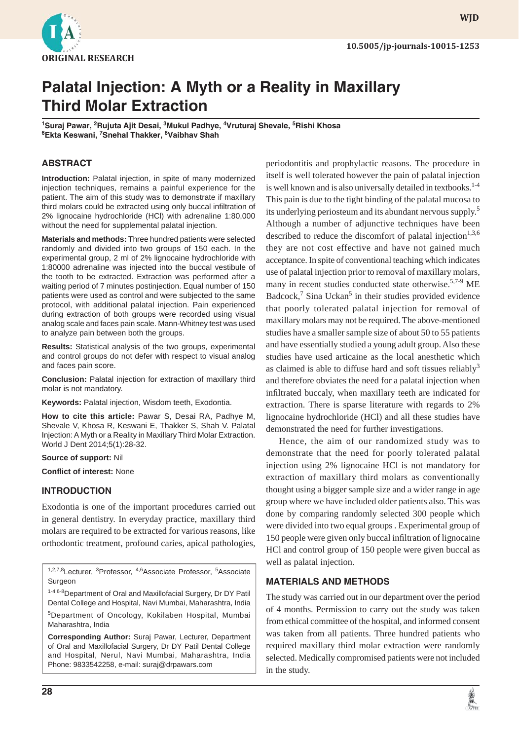

**WJD**

# **Palatal Injection: A Myth or a Reality in Maxillary Third Molar Extraction**

<sup>1</sup>Suraj Pawar, <sup>2</sup>Rujuta Ajit Desai, <sup>3</sup>Mukul Padhye, <sup>4</sup>Vruturaj Shevale, <sup>5</sup>Rishi Khosa **6 Ekta Keswani, 7 Snehal Thakker, 8 Vaibhav Shah**

# **ABSTRACT**

**Introduction:** Palatal injection, in spite of many modernized injection techniques, remains a painful experience for the patient. The aim of this study was to demonstrate if maxillary third molars could be extracted using only buccal infiltration of 2% lignocaine hydrochloride (HCl) with adrenaline 1:80,000 without the need for supplemental palatal injection.

**Materials and methods:** Three hundred patients were selected randomly and divided into two groups of 150 each. In the experimental group, 2 ml of 2% lignocaine hydrochloride with 1:80000 adrenaline was injected into the buccal vestibule of the tooth to be extracted. Extraction was performed after a waiting period of 7 minutes postinjection. Equal number of 150 patients were used as control and were subjected to the same protocol, with additional palatal injection. Pain experienced during extraction of both groups were recorded using visual analog scale and faces pain scale. Mann-Whitney test was used to analyze pain between both the groups.

**Results:** Statistical analysis of the two groups, experimental and control groups do not defer with respect to visual analog and faces pain score.

**Conclusion:** Palatal injection for extraction of maxillary third molar is not mandatory.

**Keywords:** Palatal injection, Wisdom teeth, Exodontia.

**How to cite this article:** Pawar S, Desai RA, Padhye M, Shevale V, Khosa R, Keswani E, Thakker S, Shah V. Palatal Injection: A Myth or a Reality in Maxillary Third Molar Extraction. World J Dent 2014;5(1):28-32.

#### **Source of support:** Nil

**Conflict of interest: None** 

## **INTRODUCTION**

Exodontia is one of the important procedures carried out in general dentistry. In everyday practice, maxillary third molars are required to be extracted for various reasons, like orthodontic treatment, profound caries, apical pathologies,

<sup>1,2,7,8</sup>Lecturer, <sup>3</sup>Professor, <sup>4,6</sup>Associate Professor, <sup>5</sup>Associate Surgeon

1-4,6-8 Department of Oral and Maxillofacial Surgery, Dr DY Patil Dental College and Hospital, Navi Mumbai, Maharashtra, India

5Department of Oncology, Kokilaben Hospital, Mumbai Maharashtra, India

**Corresponding Author:** Suraj Pawar, Lecturer, Department of Oral and Maxillofacial Surgery, Dr DY Patil Dental College and Hospital, Nerul, Navi Mumbai, Maharashtra, India Phone: 9833542258, e-mail: suraj@drpawars.com

periodontitis and prophylactic reasons. The procedure in itself is well tolerated however the pain of palatal injection is well known and is also universally detailed in textbooks.<sup>1-4</sup> This pain is due to the tight binding of the palatal mucosa to its underlying periosteum and its abundant nervous supply.<sup>5</sup> Although a number of adjunctive techniques have been described to reduce the discomfort of palatal injection<sup>1,3,6</sup> they are not cost effective and have not gained much acceptance. In spite of conventional teaching which indicates use of palatal injection prior to removal of maxillary molars, many in recent studies conducted state otherwise.5,7-9 ME Badcock,<sup>7</sup> Sina Uckan<sup>5</sup> in their studies provided evidence that poorly tolerated palatal injection for removal of maxillary molars may not be required. The above-mentioned studies have a smaller sample size of about 50 to 55 patients and have essentially studied a young adult group. Also these studies have used articaine as the local anesthetic which as claimed is able to diffuse hard and soft tissues reliably<sup>3</sup> and therefore obviates the need for a palatal injection when infiltrated buccaly, when maxillary teeth are indicated for extraction. There is sparse literature with regards to 2% lignocaine hydrochloride (HCl) and all these studies have demonstrated the need for further investigations.

Hence, the aim of our randomized study was to demonstrate that the need for poorly tolerated palatal injection using 2% lignocaine HCl is not mandatory for extraction of maxillary third molars as conventionally thought using a bigger sample size and a wider range in age group where we have included older patients also. This was done by comparing randomly selected 300 people which were divided into two equal groups . Experimental group of 150 people were given only buccal infiltration of lignocaine HCl and control group of 150 people were given buccal as well as palatal injection.

### **MATERIALS AND METHODS**

The study was carried out in our department over the period of 4 months. Permission to carry out the study was taken from ethical committee of the hospital, and informed consent was taken from all patients. Three hundred patients who required maxillary third molar extraction were randomly selected. Medically compromised patients were not included in the study.

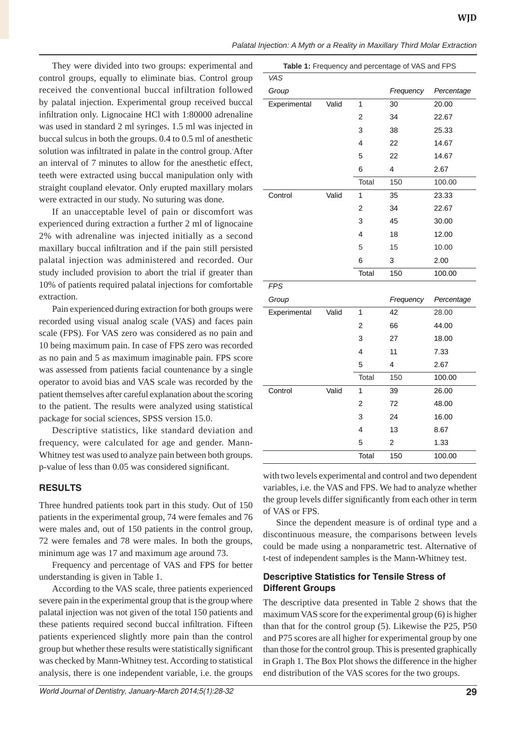*Palatal Injection: A Myth or a Reality in Maxillary Third Molar Extraction*

They were divided into two groups: experimental and control groups, equally to eliminate bias. Control group received the conventional buccal infiltration followed by palatal injection. Experimental group received buccal infiltration only. Lignocaine HCl with 1:80000 adrenaline was used in standard 2 ml syringes. 1.5 ml was injected in buccal sulcus in both the groups. 0.4 to 0.5 ml of anesthetic solution was infiltrated in palate in the control group. After an interval of 7 minutes to allow for the anesthetic effect, teeth were extracted using buccal manipulation only with straight coupland elevator. Only erupted maxillary molars were extracted in our study. No suturing was done.

If an unacceptable level of pain or discomfort was experienced during extraction a further 2 ml of lignocaine 2% with adrenaline was injected initially as a second maxillary buccal infiltration and if the pain still persisted palatal injection was administered and recorded. Our study included provision to abort the trial if greater than 10% of patients required palatal injections for comfortable extraction.

Pain experienced during extraction for both groups were recorded using visual analog scale (VAS) and faces pain scale (FPS). For VAS zero was considered as no pain and 10 being maximum pain. In case of FPS zero was recorded as no pain and 5 as maximum imaginable pain. FPS score was assessed from patients facial countenance by a single operator to avoid bias and VAS scale was recorded by the patient themselves after careful explanation about the scoring to the patient. The results were analyzed using statistical package for social sciences, SPSS version 15.0.

Descriptive statistics, like standard deviation and frequency, were calculated for age and gender. Mann-Whitney test was used to analyze pain between both groups. p-value of less than 0.05 was considered significant.

# **RESULTS**

Three hundred patients took part in this study. Out of 150 patients in the experimental group, 74 were females and 76 were males and, out of 150 patients in the control group, 72 were females and 78 were males. In both the groups, minimum age was 17 and maximum age around 73.

Frequency and percentage of VAS and FPS for better understanding is given in Table 1.

According to the VAS scale, three patients experienced severe pain in the experimental group that is the group where palatal injection was not given of the total 150 patients and these patients required second buccal infiltration. Fifteen patients experienced slightly more pain than the control group but whether these results were statistically significant was checked by Mann-Whitney test. According to statistical analysis, there is one independent variable, i.e. the groups

| Table 1: Frequency and percentage of VAS and FPS |       |       |           |            |  |
|--------------------------------------------------|-------|-------|-----------|------------|--|
| VAS                                              |       |       |           |            |  |
| Group                                            |       |       | Frequency | Percentage |  |
| Experimental                                     | Valid | 1     | 30        | 20.00      |  |
|                                                  |       | 2     | 34        | 22.67      |  |
|                                                  |       | 3     | 38        | 25.33      |  |
|                                                  |       | 4     | 22        | 14.67      |  |
|                                                  |       | 5     | 22        | 14.67      |  |
|                                                  |       | 6     | 4         | 2.67       |  |
|                                                  |       | Total | 150       | 100.00     |  |
|                                                  |       |       |           |            |  |
| Control                                          | Valid | 1     | 35        | 23.33      |  |
|                                                  |       | 2     | 34        | 22.67      |  |
|                                                  |       | 3     | 45        | 30.00      |  |
|                                                  |       | 4     | 18        | 12.00      |  |
|                                                  |       | 5     | 15        | 10.00      |  |
|                                                  |       | 6     | 3         | 2.00       |  |
|                                                  |       | Total | 150       | 100.00     |  |

| гго          |       |       |           |            |  |
|--------------|-------|-------|-----------|------------|--|
| Group        |       |       | Frequency | Percentage |  |
| Experimental | Valid | 1     | 42        | 28.00      |  |
|              |       | 2     | 66        | 44.00      |  |
|              |       | 3     | 27        | 18.00      |  |
|              |       | 4     | 11        | 7.33       |  |
|              |       | 5     | 4         | 2.67       |  |
|              |       | Total | 150       | 100.00     |  |
| Control      | Valid | 1     | 39        | 26.00      |  |
|              |       | 2     | 72        | 48.00      |  |
|              |       | 3     | 24        | 16.00      |  |
|              |       | 4     | 13        | 8.67       |  |
|              |       | 5     | 2         | 1.33       |  |
|              |       | Total | 150       | 100.00     |  |

with two levels experimental and control and two dependent variables, i.e. the VAS and FPS. We had to analyze whether the group levels differ significantly from each other in term of VAS or FPS.

Since the dependent measure is of ordinal type and a discontinuous measure, the comparisons between levels could be made using a nonparametric test. Alternative of t-test of independent samples is the Mann-Whitney test.

# **Descriptive Statistics for Tensile Stress of Different Groups**

The descriptive data presented in Table 2 shows that the maximum VAS score for the experimental group (6) is higher than that for the control group (5). Likewise the P25, P50 and P75 scores are all higher for experimental group by one than those for the control group. This is presented graphically in Graph 1. The Box Plot shows the difference in the higher end distribution of the VAS scores for the two groups.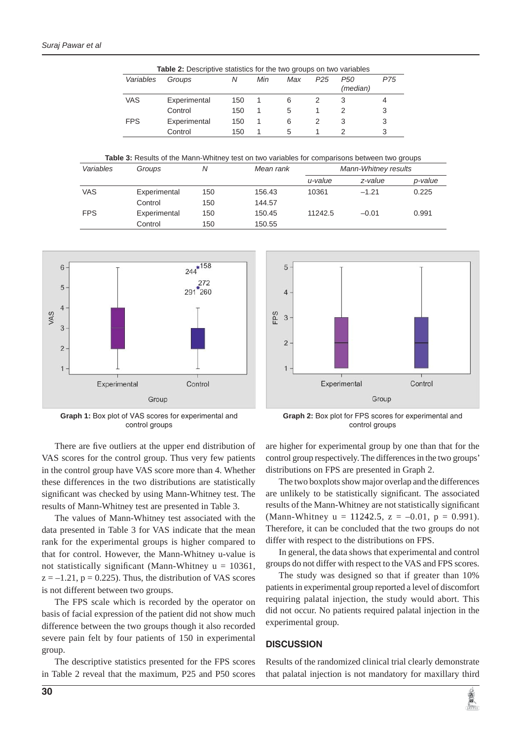|            |                                                                                                      | <b>Table 2:</b> Descriptive statistics for the two groups on two variables |     |           |        |                      |                 |                             |         |         |
|------------|------------------------------------------------------------------------------------------------------|----------------------------------------------------------------------------|-----|-----------|--------|----------------------|-----------------|-----------------------------|---------|---------|
|            | Variables                                                                                            | Groups                                                                     |     | N         | Min    | Max                  | P <sub>25</sub> | P <sub>50</sub><br>(median) | P75     |         |
|            | <b>VAS</b>                                                                                           | Experimental                                                               |     | 150       |        | 6                    | 2               | 3                           | 4       |         |
|            |                                                                                                      | Control                                                                    |     | 150       | 1      | 5                    |                 | 2                           | 3       |         |
|            | <b>FPS</b>                                                                                           | Experimental                                                               |     | 150       | 1      | 6                    | 2               | 3                           | 3       |         |
|            |                                                                                                      |                                                                            |     | 150       | 1      | 5                    |                 | 2                           | 3       |         |
|            | <b>Table 3:</b> Results of the Mann-Whitney test on two variables for comparisons between two groups |                                                                            |     |           |        |                      |                 |                             |         |         |
| Variables  |                                                                                                      | N<br>Groups                                                                |     | Mean rank |        | Mann-Whitney results |                 |                             |         |         |
|            |                                                                                                      |                                                                            |     |           |        |                      | u-value         |                             | z-value | p-value |
| <b>VAS</b> | Experimental                                                                                         |                                                                            | 150 |           | 156.43 |                      | 10361           |                             | $-1.21$ | 0.225   |
|            | Control                                                                                              |                                                                            | 150 |           | 144.57 |                      |                 |                             |         |         |
| <b>FPS</b> | Experimental                                                                                         |                                                                            | 150 |           | 150.45 |                      | 11242.5         |                             | $-0.01$ | 0.991   |

Control 150 150.55



**Graph 1:** Box plot of VAS scores for experimental and control groups



**Graph 2:** Box plot for FPS scores for experimental and control groups

There are five outliers at the upper end distribution of VAS scores for the control group. Thus very few patients in the control group have VAS score more than 4. Whether these differences in the two distributions are statistically significant was checked by using Mann-Whitney test. The results of Mann-Whitney test are presented in Table 3.

The values of Mann-Whitney test associated with the data presented in Table 3 for VAS indicate that the mean rank for the experimental groups is higher compared to that for control. However, the Mann-Whitney u-value is not statistically significant (Mann-Whitney  $u = 10361$ ,  $z = -1.21$ ,  $p = 0.225$ . Thus, the distribution of VAS scores is not different between two groups.

The FPS scale which is recorded by the operator on basis of facial expression of the patient did not show much difference between the two groups though it also recorded severe pain felt by four patients of 150 in experimental group.

The descriptive statistics presented for the FPS scores in Table 2 reveal that the maximum, P25 and P50 scores are higher for experimental group by one than that for the control group respectively. The differences in the two groups' distributions on FPS are presented in Graph 2.

The two boxplots show major overlap and the differences are unlikely to be statistically significant. The associated results of the Mann-Whitney are not statistically significant (Mann-Whitney  $u = 11242.5$ ,  $z = -0.01$ ,  $p = 0.991$ ). Therefore, it can be concluded that the two groups do not differ with respect to the distributions on FPS.

In general, the data shows that experimental and control groups do not differ with respect to the VAS and FPS scores.

The study was designed so that if greater than 10% patients in experimental group reported a level of discomfort requiring palatal injection, the study would abort. This did not occur. No patients required palatal injection in the experimental group.

### **DISCUSSION**

Results of the randomized clinical trial clearly demonstrate that palatal injection is not mandatory for maxillary third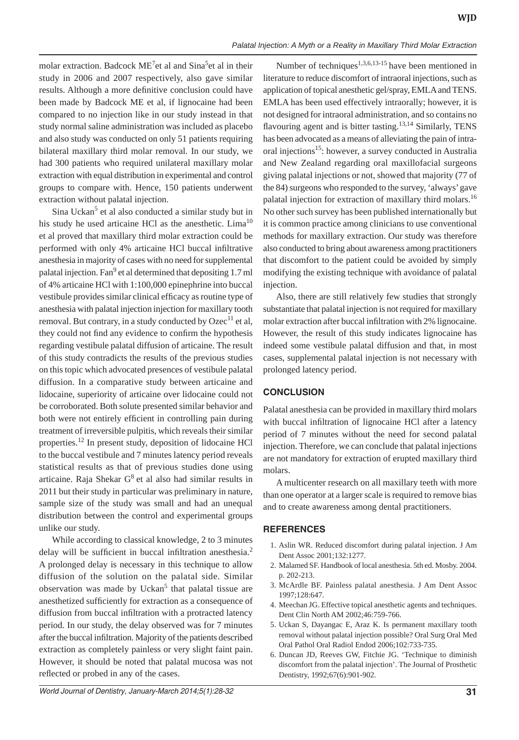molar extraction. Badcock ME<sup>7</sup>et al and Sina<sup>5</sup>et al in their study in 2006 and 2007 respectively, also gave similar results. Although a more definitive conclusion could have been made by Badcock ME et al, if lignocaine had been compared to no injection like in our study instead in that study normal saline administration was included as placebo and also study was conducted on only 51 patients requiring bilateral maxillary third molar removal. In our study, we had 300 patients who required unilateral maxillary molar extraction with equal distribution in experimental and control groups to compare with. Hence, 150 patients underwent extraction without palatal injection.

Sina Uckan<sup>5</sup> et al also conducted a similar study but in his study he used articaine HCl as the anesthetic. Lima<sup>10</sup> et al proved that maxillary third molar extraction could be performed with only 4% articaine HCl buccal infiltrative anesthesia in majority of cases with no need for supplemental palatal injection. Fan<sup>9</sup> et al determined that depositing 1.7 ml of 4% articaine HCl with 1:100,000 epinephrine into buccal vestibule provides similar clinical efficacy as routine type of anesthesia with palatal injection injection for maxillary tooth removal. But contrary, in a study conducted by  $O$ zec<sup>11</sup> et al, they could not find any evidence to confirm the hypothesis regarding vestibule palatal diffusion of articaine. The result of this study contradicts the results of the previous studies on this topic which advocated presences of vestibule palatal diffusion. In a comparative study between articaine and lidocaine, superiority of articaine over lidocaine could not be corroborated. Both solute presented similar behavior and both were not entirely efficient in controlling pain during treatment of irreversible pulpitis, which reveals their similar properties.12 In present study, deposition of lidocaine HCl to the buccal vestibule and 7 minutes latency period reveals statistical results as that of previous studies done using articaine. Raja Shekar  $G<sup>8</sup>$  et al also had similar results in 2011 but their study in particular was preliminary in nature, sample size of the study was small and had an unequal distribution between the control and experimental groups unlike our study.

While according to classical knowledge, 2 to 3 minutes delay will be sufficient in buccal infiltration anesthesia.<sup>2</sup> A prolonged delay is necessary in this technique to allow diffusion of the solution on the palatal side. Similar observation was made by Uckan<sup>5</sup> that palatal tissue are anesthetized sufficiently for extraction as a consequence of diffusion from buccal infiltration with a protracted latency period. In our study, the delay observed was for 7 minutes after the buccal infiltration. Majority of the patients described extraction as completely painless or very slight faint pain. However, it should be noted that palatal mucosa was not reflected or probed in any of the cases.

Number of techniques<sup>1,3,6,13-15</sup> have been mentioned in literature to reduce discomfort of intraoral injections, such as application of topical anesthetic gel/spray, EMLA and TENS. EMLA has been used effectively intraorally; however, it is not designed for intraoral administration, and so contains no flavouring agent and is bitter tasting.<sup>13,14</sup> Similarly, TENS has been advocated as a means of alleviating the pain of intraoral injections<sup>15</sup>: however, a survey conducted in Australia and New Zealand regarding oral maxillofacial surgeons giving palatal injections or not, showed that majority (77 of the 84) surgeons who responded to the survey, 'always' gave palatal injection for extraction of maxillary third molars.<sup>16</sup> No other such survey has been published internationally but it is common practice among clinicians to use conventional methods for maxillary extraction. Our study was therefore also conducted to bring about awareness among practitioners that discomfort to the patient could be avoided by simply modifying the existing technique with avoidance of palatal injection.

Also, there are still relatively few studies that strongly substantiate that palatal injection is not required for maxillary molar extraction after buccal infiltration with 2% lignocaine. However, the result of this study indicates lignocaine has indeed some vestibule palatal diffusion and that, in most cases, supplemental palatal injection is not necessary with prolonged latency period.

## **CONCLUSION**

Palatal anesthesia can be provided in maxillary third molars with buccal infiltration of lignocaine HCl after a latency period of 7 minutes without the need for second palatal injection. Therefore, we can conclude that palatal injections are not mandatory for extraction of erupted maxillary third molars.

A multicenter research on all maxillary teeth with more than one operator at a larger scale is required to remove bias and to create awareness among dental practitioners.

## **REFERENCES**

- 1. Aslin WR. Reduced discomfort during palatal injection. J Am Dent Assoc 2001;132:1277.
- 2. Malamed SF. Handbook of local anesthesia. 5th ed. Mosby. 2004. p. 202-213.
- 3. McArdle BF. Painless palatal anesthesia. J Am Dent Assoc 1997;128:647.
- 4. Meechan JG. Effective topical anesthetic agents and techniques. Dent Clin North AM 2002;46:759-766.
- 5. Uckan S, Dayangac E, Araz K. Is permanent maxillary tooth removal without palatal injection possible? Oral Surg Oral Med Oral Pathol Oral Radiol Endod 2006;102:733-735.
- 6. Duncan JD, Reeves GW, Fitchie JG. 'Technique to diminish discomfort from the palatal injection'. The Journal of Prosthetic Dentistry, 1992;67(6):901-902.